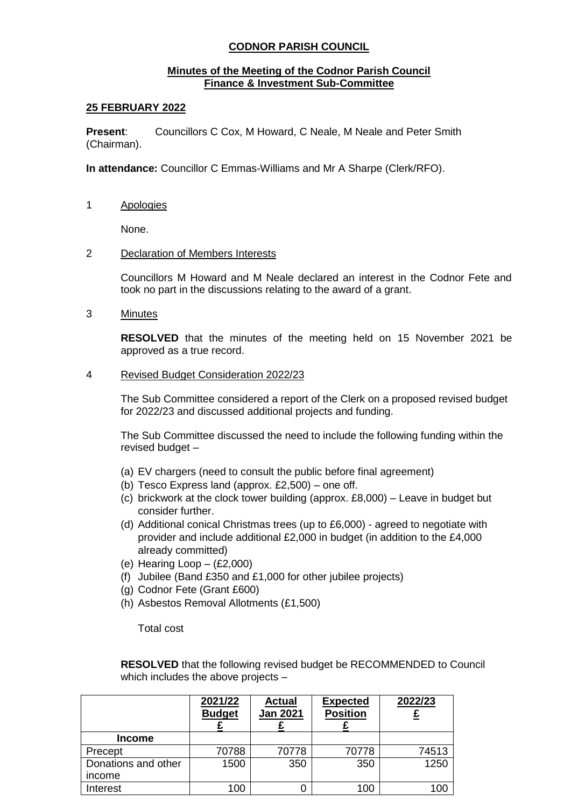# **CODNOR PARISH COUNCIL**

## **Minutes of the Meeting of the Codnor Parish Council Finance & Investment Sub-Committee**

### **25 FEBRUARY 2022**

**Present**: Councillors C Cox, M Howard, C Neale, M Neale and Peter Smith (Chairman).

**In attendance:** Councillor C Emmas-Williams and Mr A Sharpe (Clerk/RFO).

1 Apologies

None.

### 2 Declaration of Members Interests

Councillors M Howard and M Neale declared an interest in the Codnor Fete and took no part in the discussions relating to the award of a grant.

3 Minutes

**RESOLVED** that the minutes of the meeting held on 15 November 2021 be approved as a true record.

### 4 Revised Budget Consideration 2022/23

The Sub Committee considered a report of the Clerk on a proposed revised budget for 2022/23 and discussed additional projects and funding.

The Sub Committee discussed the need to include the following funding within the revised budget –

- (a) EV chargers (need to consult the public before final agreement)
- (b) Tesco Express land (approx. £2,500) one off.
- (c) brickwork at the clock tower building (approx. £8,000) Leave in budget but consider further.
- (d) Additional conical Christmas trees (up to £6,000) agreed to negotiate with provider and include additional £2,000 in budget (in addition to the £4,000 already committed)
- (e) Hearing Loop (£2,000)
- (f) Jubilee (Band £350 and £1,000 for other jubilee projects)
- (g) Codnor Fete (Grant £600)
- (h) Asbestos Removal Allotments (£1,500)

Total cost

**RESOLVED** that the following revised budget be RECOMMENDED to Council which includes the above projects –

|                     | 2021/22<br><b>Budget</b> | <b>Actual</b><br><b>Jan 2021</b> | <b>Expected</b><br><b>Position</b> | 2022/23         |
|---------------------|--------------------------|----------------------------------|------------------------------------|-----------------|
| Income              |                          |                                  |                                    |                 |
| Precept             | 70788                    | 70778                            | 70778                              | 74513           |
| Donations and other | 1500                     | 350                              | 350                                | 1250            |
| income              |                          |                                  |                                    |                 |
| Interest            | 100                      |                                  | 100                                | 10 <sup>c</sup> |